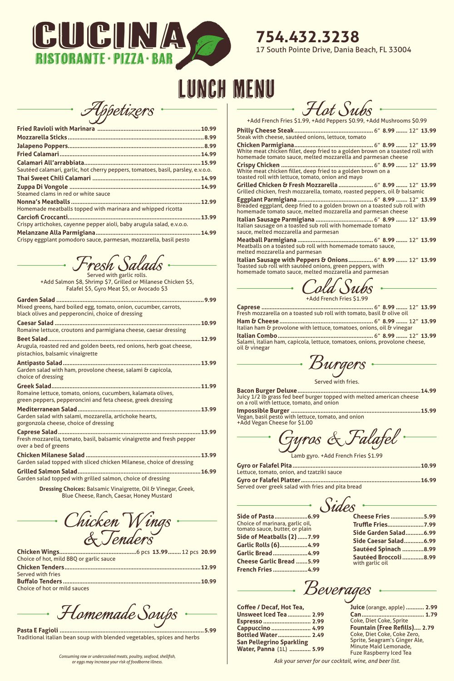

## Lunch Menu

*Appetizers*

| Sautéed calamari, garlic, hot cherry peppers, tomatoes, basil, parsley, e.v.o.o. |
|----------------------------------------------------------------------------------|
|                                                                                  |
|                                                                                  |
| Steamed clams in red or white sauce                                              |
| 12.99                                                                            |
| Homemade meatballs topped with marinara and whipped ricotta                      |
| .13.99                                                                           |
| Crispy artichokes, cayenne pepper aioli, baby arugula salad, e.v.o.o.            |
| 14.99                                                                            |
| Crispy eggplant pomodoro sauce, parmesan, mozzarella, basil pesto                |
| Fresh Salads .                                                                   |
| Served with garlic rolls.                                                        |
|                                                                                  |

| Served with garlic rolls.                                     |
|---------------------------------------------------------------|
| +Add Salmon \$8, Shrimp \$7, Grilled or Milanese Chicken \$5, |
| Falafel \$5, Gyro Meat \$5, or Avocado \$3                    |
|                                                               |

| Mixed greens, hard boiled egg, tomato, onion, cucumber, carrots,<br>black olives and pepperoncini, choice of dressing       |
|-----------------------------------------------------------------------------------------------------------------------------|
| Romaine lettuce, croutons and parmigiana cheese, caesar dressing                                                            |
| Arugula, roasted red and golden beets, red onions, herb goat cheese,<br>pistachios, balsamic vinaigrette                    |
| Garden salad with ham, provolone cheese, salami & capicola,<br>choice of dressing                                           |
| Romaine lettuce, tomato, onions, cucumbers, kalamata olives,<br>green peppers, pepperoncini and feta cheese, greek dressing |
| Garden salad with salami, mozzarella, artichoke hearts,<br>gorgonzola cheese, choice of dressing                            |
| .13.99<br>Fresh mozzarella, tomato, basil, balsamic vinaigrette and fresh pepper<br>over a bed of greens                    |
| .13.99<br>Garden salad topped with sliced chicken Milanese, choice of dressing                                              |
| .16.99                                                                                                                      |

**Dressing Choices:** Balsamic Vinaigrette, Oil & Vinegar, Greek, Blue Cheese, Ranch, Caesar, Honey Mustard

Garden salad topped with grilled salmon, choice of dressing

*Chicken Wings & Tenders*

| Choice of hot, mild BBQ or garlic sauce |  |  |
|-----------------------------------------|--|--|
|                                         |  |  |
| Served with fries                       |  |  |
|                                         |  |  |

Choice of hot or mild sauces

*Homemade Soups*

**Pasta E Fagioli ........................................................................................5.99** Traditional italian bean soup with blended vegetables, spices and herbs **Coffee / Decaf, Hot Tea, Unsweet Iced Tea .............. 2.99 Espresso ............................. 2.99 Cappuccino ........................ 4.99 Bottled Water.................... 2.49 San Pellegrino Sparkling Water, Panna** (1L) **............. 5.99**

Choice of marinara, garlic oil, tomato sauce, butter, or plain **Side of Meatballs (2)......7.99 Garlic Rolls (6).................4.99 Garlic Bread.....................4.99 Cheese Garlic Bread .......5.99 French Fries .....................4.99**

> **Juice** (orange, apple) **........... 2.99 Can...................................... 1.79** Coke, Diet Coke, Sprite **Fountain (Free Refills).... 2.79** Coke, Diet Coke, Coke Zero, Sprite, Seagram's Ginger Ale, Minute Maid Lemonade, Fuze Raspberry Iced Tea

*Consuming raw or undercooked meats, poultry, seafood, shellfish, or eggs may increase your risk of foodborne illness.*

*Hot Subs*

+Add French Fries \$1.99, +Add Peppers \$0.99, +Add Mushrooms \$0.99

**Philly Cheese Steak................................................** 6" **8.99 .......** 12" **13.99** Steak with cheese, sautéed onions, lettuce, tomato **Chicken Parmigiana................................................** 6" **8.99 .......** 12" **13.99** White meat chicken fillet, deep fried to a golden brown on a toasted roll with homemade tomato sauce, melted mozzarella and parmesan cheese **Crispy Chicken ........................................................** 6" **8.99 .......** 12" **13.99** White meat chicken fillet, deep fried to a golden brown on a toasted roll with lettuce, tomato, onion and mayo **Grilled Chicken & Fresh Mozzarella .....................** 6" **8.99 .......** 12" **13.99** Grilled chicken, fresh mozzarella, tomato, roasted peppers, oil & balsamic **Eggplant Parmigiana ..............................................** 6" **8.99 .......** 12" **13.99** Breaded eggplant, deep fried to a golden brown on a toasted sub roll with homemade tomato sauce, melted mozzarella and parmesan cheese **Italian Sausage Parmigiana ...................................** 6" **8.99 .......** 12" **13.99** Italian sausage on a toasted sub roll with homemade tomato

sauce, melted mozzarella and parmesan **Meatball Parmigiana ..............................................** 6" **8.99 .......** 12" **13.99** Meatballs on a toasted sub roll with homemade tomato sauce,

melted mozzarella and parmesan **Italian Sausage with Peppers & Onions...............** 6" **8.99 .......** 12" **13.99** Toasted sub roll with sautéed onions, green peppers, with homemade tomato sauce, melted mozzarella and parmesan

*Cold Subs* +Add French Fries \$1.99

| Italian ham & provolone with lettuce, tomatoes, onions, oil & vinegar       |  |  |
|-----------------------------------------------------------------------------|--|--|
|                                                                             |  |  |
| Salami, italian ham, capicola, lettuce, tomatoes, onions, provolone cheese, |  |  |
| oil & vinegar                                                               |  |  |

*Burgers*

Served with fries.

**Bacon Burger Deluxe...........................................................................14.99** Juicy 1/2 lb grass fed beef burger topped with melted american cheese on a roll with lettuce, tomato, and onion

**Impossible Burger ...............................................................................15.99** Vegan, basil pesto with lettuce, tomato, and onion +Add Vegan Cheese for \$1.00

*Gyros & Falafel*

Lamb gyro. +Add French Fries \$1.99

| Lettuce, tomato, onion, and tzatziki sauce        |  |
|---------------------------------------------------|--|
|                                                   |  |
| Served over greek salad with fries and pita bread |  |



| <b>Cheese Fries 5.99</b>                 |  |
|------------------------------------------|--|
| <b>Truffle Fries7.99</b>                 |  |
| Side Garden Salad6.99                    |  |
| Side Caesar Salad6.99                    |  |
| Sautéed Spinach 8.99                     |  |
| Sautéed Broccoli 8.99<br>with garlic oil |  |
|                                          |  |



*Ask your server for our cocktail, wine, and beer list.*